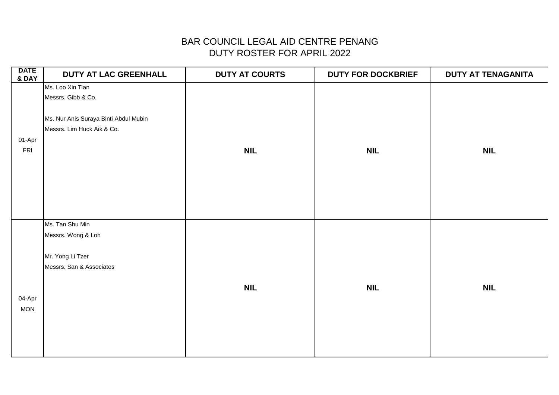| <b>DATE</b><br><b>&amp; DAY</b> | DUTY AT LAC GREENHALL                 | <b>DUTY AT COURTS</b> | <b>DUTY FOR DOCKBRIEF</b> | <b>DUTY AT TENAGANITA</b> |
|---------------------------------|---------------------------------------|-----------------------|---------------------------|---------------------------|
|                                 | Ms. Loo Xin Tian                      |                       |                           |                           |
|                                 | Messrs. Gibb & Co.                    |                       |                           |                           |
|                                 |                                       |                       |                           |                           |
|                                 | Ms. Nur Anis Suraya Binti Abdul Mubin |                       |                           |                           |
|                                 | Messrs. Lim Huck Aik & Co.            |                       |                           |                           |
| 01-Apr                          |                                       |                       |                           |                           |
| <b>FRI</b>                      |                                       | <b>NIL</b>            | <b>NIL</b>                | <b>NIL</b>                |
|                                 |                                       |                       |                           |                           |
|                                 |                                       |                       |                           |                           |
|                                 |                                       |                       |                           |                           |
|                                 |                                       |                       |                           |                           |
|                                 |                                       |                       |                           |                           |
|                                 |                                       |                       |                           |                           |
|                                 | Ms. Tan Shu Min                       |                       |                           |                           |
|                                 | Messrs. Wong & Loh                    |                       |                           |                           |
|                                 |                                       |                       |                           |                           |
|                                 | Mr. Yong Li Tzer                      |                       |                           |                           |
|                                 | Messrs. San & Associates              |                       |                           |                           |
|                                 |                                       |                       |                           |                           |
|                                 |                                       | <b>NIL</b>            | <b>NIL</b>                | <b>NIL</b>                |
| 04-Apr                          |                                       |                       |                           |                           |
| <b>MON</b>                      |                                       |                       |                           |                           |
|                                 |                                       |                       |                           |                           |
|                                 |                                       |                       |                           |                           |
|                                 |                                       |                       |                           |                           |
|                                 |                                       |                       |                           |                           |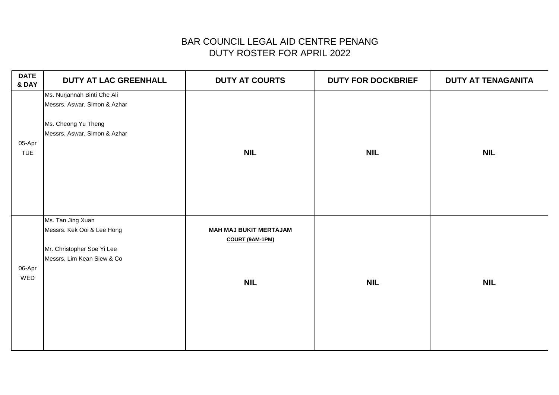| <b>DATE</b><br>& DAY | DUTY AT LAC GREENHALL                                                                                              | <b>DUTY AT COURTS</b>                                                 | <b>DUTY FOR DOCKBRIEF</b> | <b>DUTY AT TENAGANITA</b> |
|----------------------|--------------------------------------------------------------------------------------------------------------------|-----------------------------------------------------------------------|---------------------------|---------------------------|
| 05-Apr<br><b>TUE</b> | Ms. Nurjannah Binti Che Ali<br>Messrs. Aswar, Simon & Azhar<br>Ms. Cheong Yu Theng<br>Messrs. Aswar, Simon & Azhar | <b>NIL</b>                                                            | <b>NIL</b>                | <b>NIL</b>                |
| 06-Apr<br>WED        | Ms. Tan Jing Xuan<br>Messrs. Kek Ooi & Lee Hong<br>Mr. Christopher Soe Yi Lee<br>Messrs. Lim Kean Siew & Co        | <b>MAH MAJ BUKIT MERTAJAM</b><br><b>COURT (9AM-1PM)</b><br><b>NIL</b> | <b>NIL</b>                | <b>NIL</b>                |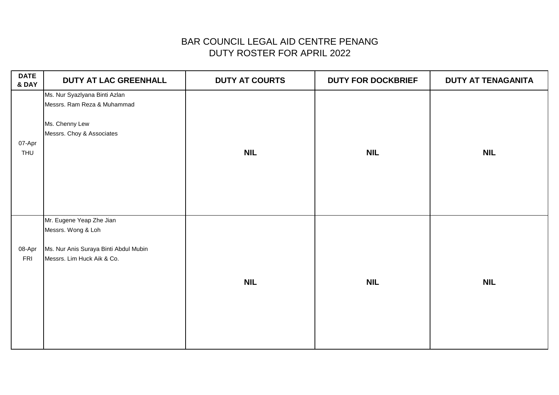| <b>DATE</b><br>& DAY | DUTY AT LAC GREENHALL                                                                                                 | <b>DUTY AT COURTS</b> | <b>DUTY FOR DOCKBRIEF</b> | DUTY AT TENAGANITA |
|----------------------|-----------------------------------------------------------------------------------------------------------------------|-----------------------|---------------------------|--------------------|
| 07-Apr<br>THU        | Ms. Nur Syazlyana Binti Azlan<br>Messrs. Ram Reza & Muhammad<br>Ms. Chenny Lew<br>Messrs. Choy & Associates           | <b>NIL</b>            | <b>NIL</b>                | <b>NIL</b>         |
| 08-Apr<br>FRI        | Mr. Eugene Yeap Zhe Jian<br>Messrs. Wong & Loh<br>Ms. Nur Anis Suraya Binti Abdul Mubin<br>Messrs. Lim Huck Aik & Co. | <b>NIL</b>            | <b>NIL</b>                | <b>NIL</b>         |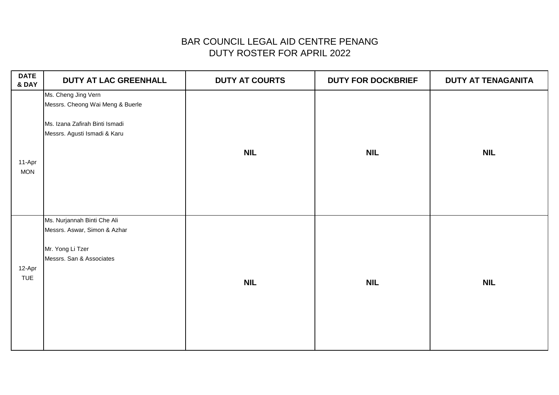| <b>DATE</b><br>& DAY | <b>DUTY AT LAC GREENHALL</b>                                                                                              | <b>DUTY AT COURTS</b> | <b>DUTY FOR DOCKBRIEF</b> | <b>DUTY AT TENAGANITA</b> |
|----------------------|---------------------------------------------------------------------------------------------------------------------------|-----------------------|---------------------------|---------------------------|
| 11-Apr<br><b>MON</b> | Ms. Cheng Jing Vern<br>Messrs. Cheong Wai Meng & Buerle<br>Ms. Izana Zafirah Binti Ismadi<br>Messrs. Agusti Ismadi & Karu | <b>NIL</b>            | <b>NIL</b>                | <b>NIL</b>                |
| 12-Apr<br><b>TUE</b> | Ms. Nurjannah Binti Che Ali<br>Messrs. Aswar, Simon & Azhar<br>Mr. Yong Li Tzer<br>Messrs. San & Associates               | <b>NIL</b>            | <b>NIL</b>                | <b>NIL</b>                |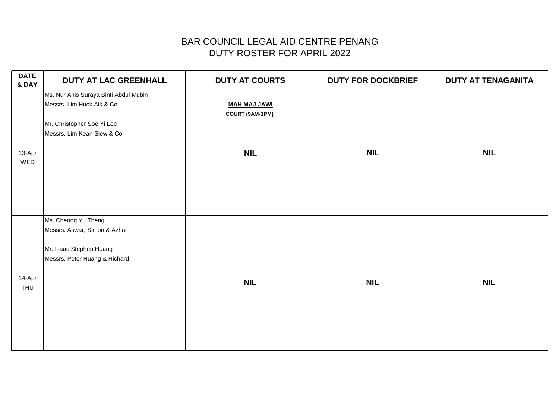| <b>DATE</b><br>& DAY | <b>DUTY AT LAC GREENHALL</b>                                                                                                    | <b>DUTY AT COURTS</b>                  | <b>DUTY FOR DOCKBRIEF</b> | <b>DUTY AT TENAGANITA</b> |
|----------------------|---------------------------------------------------------------------------------------------------------------------------------|----------------------------------------|---------------------------|---------------------------|
|                      | Ms. Nur Anis Suraya Binti Abdul Mubin<br>Messrs. Lim Huck Aik & Co.<br>Mr. Christopher Soe Yi Lee<br>Messrs. Lim Kean Siew & Co | <b>MAH MAJ JAWI</b><br>COURT (9AM-1PM) |                           |                           |
| 13-Apr<br>WED        |                                                                                                                                 | <b>NIL</b>                             | <b>NIL</b>                | <b>NIL</b>                |
| 14-Apr<br>THU        | Ms. Cheong Yu Theng<br>Messrs. Aswar, Simon & Azhar<br>Mr. Isaac Stephen Huang<br>Messrs. Peter Huang & Richard                 | <b>NIL</b>                             | <b>NIL</b>                | <b>NIL</b>                |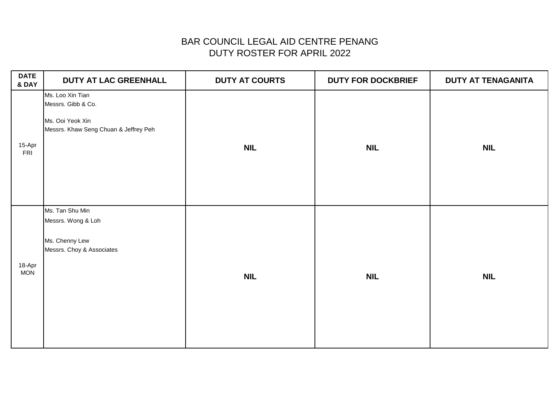| <b>DATE</b><br>& DAY | DUTY AT LAC GREENHALL                       | <b>DUTY AT COURTS</b> | <b>DUTY FOR DOCKBRIEF</b> | <b>DUTY AT TENAGANITA</b> |
|----------------------|---------------------------------------------|-----------------------|---------------------------|---------------------------|
|                      | Ms. Loo Xin Tian                            |                       |                           |                           |
|                      | Messrs. Gibb & Co.                          |                       |                           |                           |
|                      | Ms. Ooi Yeok Xin                            |                       |                           |                           |
|                      | Messrs. Khaw Seng Chuan & Jeffrey Peh       |                       |                           |                           |
| 15-Apr<br>FRI        |                                             | <b>NIL</b>            | <b>NIL</b>                | <b>NIL</b>                |
|                      | Ms. Tan Shu Min                             |                       |                           |                           |
|                      | Messrs. Wong & Loh                          |                       |                           |                           |
| 18-Apr<br><b>MON</b> | Ms. Chenny Lew<br>Messrs. Choy & Associates | <b>NIL</b>            | <b>NIL</b>                | <b>NIL</b>                |
|                      |                                             |                       |                           |                           |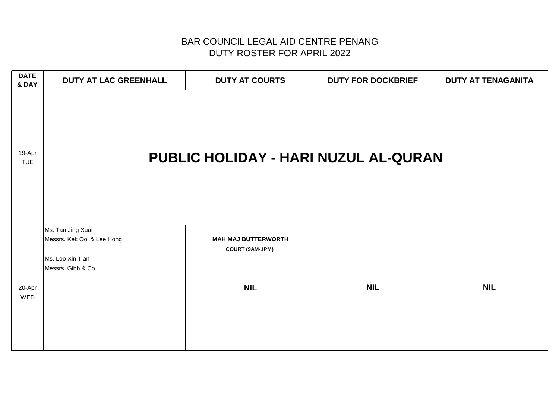| <b>DATE</b><br>& DAY | DUTY AT LAC GREENHALL                                                                     | <b>DUTY AT COURTS</b>                                       | <b>DUTY FOR DOCKBRIEF</b> | <b>DUTY AT TENAGANITA</b> |  |
|----------------------|-------------------------------------------------------------------------------------------|-------------------------------------------------------------|---------------------------|---------------------------|--|
| 19-Apr<br><b>TUE</b> | PUBLIC HOLIDAY - HARI NUZUL AL-QURAN                                                      |                                                             |                           |                           |  |
| 20-Apr<br>WED        | Ms. Tan Jing Xuan<br>Messrs. Kek Ooi & Lee Hong<br>Ms. Loo Xin Tian<br>Messrs. Gibb & Co. | <b>MAH MAJ BUTTERWORTH</b><br>COURT (9AM-1PM)<br><b>NIL</b> | <b>NIL</b>                | <b>NIL</b>                |  |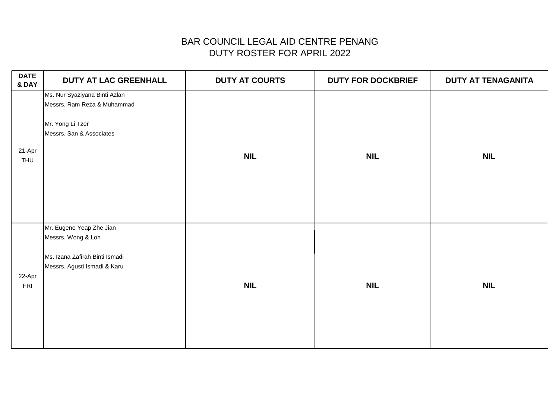| <b>DATE</b><br>& DAY | DUTY AT LAC GREENHALL                                                                                            | <b>DUTY AT COURTS</b> | <b>DUTY FOR DOCKBRIEF</b> | <b>DUTY AT TENAGANITA</b> |
|----------------------|------------------------------------------------------------------------------------------------------------------|-----------------------|---------------------------|---------------------------|
| 21-Apr<br><b>THU</b> | Ms. Nur Syazlyana Binti Azlan<br>Messrs. Ram Reza & Muhammad<br>Mr. Yong Li Tzer<br>Messrs. San & Associates     | <b>NIL</b>            | <b>NIL</b>                | <b>NIL</b>                |
| 22-Apr<br>FRI        | Mr. Eugene Yeap Zhe Jian<br>Messrs. Wong & Loh<br>Ms. Izana Zafirah Binti Ismadi<br>Messrs. Agusti Ismadi & Karu | <b>NIL</b>            | <b>NIL</b>                | <b>NIL</b>                |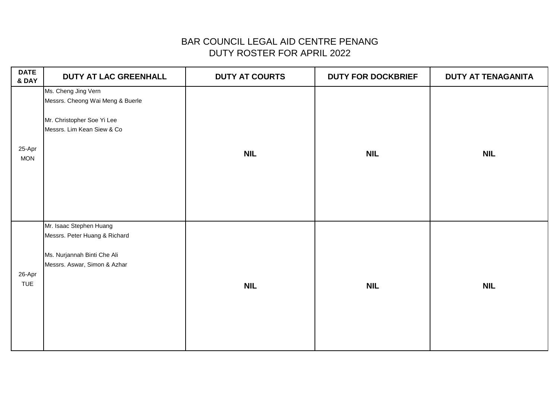| <b>DATE</b><br>& DAY | <b>DUTY AT LAC GREENHALL</b>                                                                                            | <b>DUTY AT COURTS</b> | <b>DUTY FOR DOCKBRIEF</b> | DUTY AT TENAGANITA |
|----------------------|-------------------------------------------------------------------------------------------------------------------------|-----------------------|---------------------------|--------------------|
| 25-Apr<br><b>MON</b> | Ms. Cheng Jing Vern<br>Messrs. Cheong Wai Meng & Buerle<br>Mr. Christopher Soe Yi Lee<br>Messrs. Lim Kean Siew & Co     | <b>NIL</b>            | <b>NIL</b>                | <b>NIL</b>         |
| 26-Apr<br><b>TUE</b> | Mr. Isaac Stephen Huang<br>Messrs. Peter Huang & Richard<br>Ms. Nurjannah Binti Che Ali<br>Messrs. Aswar, Simon & Azhar | <b>NIL</b>            | <b>NIL</b>                | <b>NIL</b>         |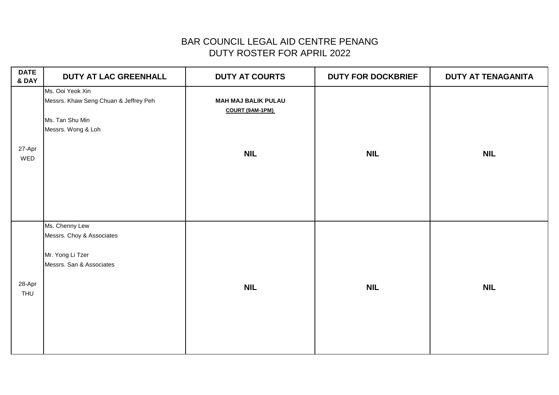| <b>DATE</b><br>& DAY | DUTY AT LAC GREENHALL                                                                              | <b>DUTY AT COURTS</b>                         | <b>DUTY FOR DOCKBRIEF</b> | DUTY AT TENAGANITA |
|----------------------|----------------------------------------------------------------------------------------------------|-----------------------------------------------|---------------------------|--------------------|
|                      | Ms. Ooi Yeok Xin<br>Messrs. Khaw Seng Chuan & Jeffrey Peh<br>Ms. Tan Shu Min<br>Messrs. Wong & Loh | <b>MAH MAJ BALIK PULAU</b><br>COURT (9AM-1PM) |                           |                    |
| 27-Apr<br>WED        |                                                                                                    | <b>NIL</b>                                    | <b>NIL</b>                | <b>NIL</b>         |
| 28-Apr<br>THU        | Ms. Chenny Lew<br>Messrs. Choy & Associates<br>Mr. Yong Li Tzer<br>Messrs. San & Associates        | <b>NIL</b>                                    | <b>NIL</b>                | <b>NIL</b>         |